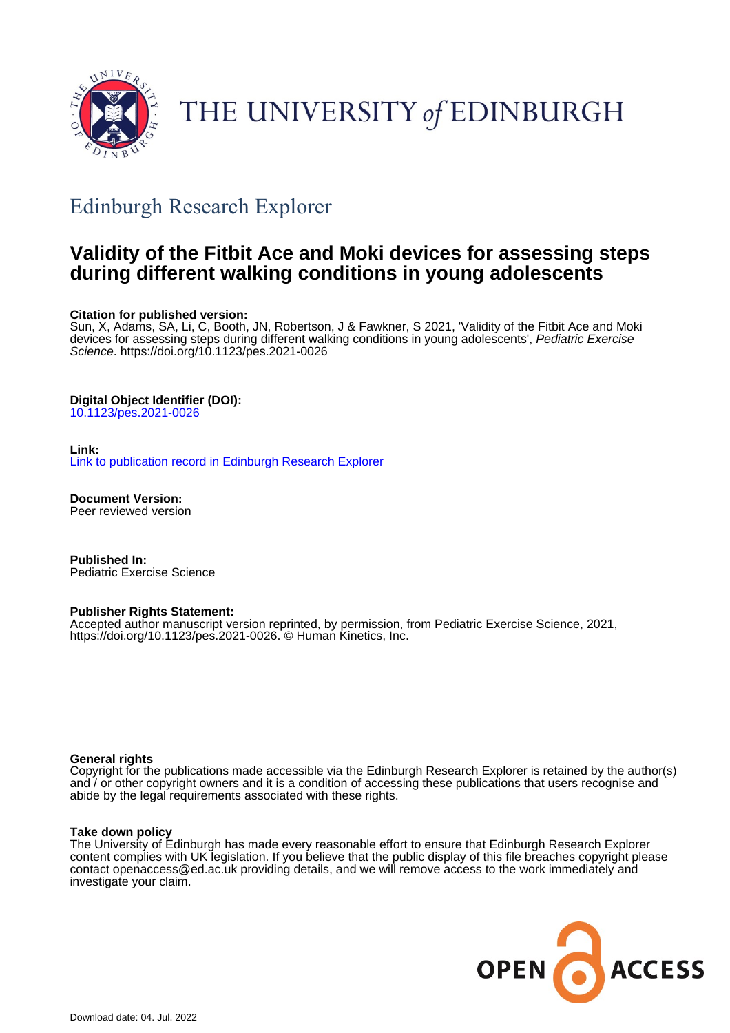

# THE UNIVERSITY of EDINBURGH

## Edinburgh Research Explorer

## **Validity of the Fitbit Ace and Moki devices for assessing steps during different walking conditions in young adolescents**

#### **Citation for published version:**

Sun, X, Adams, SA, Li, C, Booth, JN, Robertson, J & Fawkner, S 2021, 'Validity of the Fitbit Ace and Moki devices for assessing steps during different walking conditions in young adolescents', Pediatric Exercise Science.<https://doi.org/10.1123/pes.2021-0026>

## **Digital Object Identifier (DOI):**

[10.1123/pes.2021-0026](https://doi.org/10.1123/pes.2021-0026)

## **Link:**

[Link to publication record in Edinburgh Research Explorer](https://www.research.ed.ac.uk/en/publications/9a29ed04-000f-4bad-93dd-a1058b37212f)

**Document Version:** Peer reviewed version

**Published In:** Pediatric Exercise Science

#### **Publisher Rights Statement:**

Accepted author manuscript version reprinted, by permission, from Pediatric Exercise Science, 2021, https://doi.org/10.1123/pes.2021-0026. © Human Kinetics, Inc.

#### **General rights**

Copyright for the publications made accessible via the Edinburgh Research Explorer is retained by the author(s) and / or other copyright owners and it is a condition of accessing these publications that users recognise and abide by the legal requirements associated with these rights.

#### **Take down policy**

The University of Edinburgh has made every reasonable effort to ensure that Edinburgh Research Explorer content complies with UK legislation. If you believe that the public display of this file breaches copyright please contact openaccess@ed.ac.uk providing details, and we will remove access to the work immediately and investigate your claim.

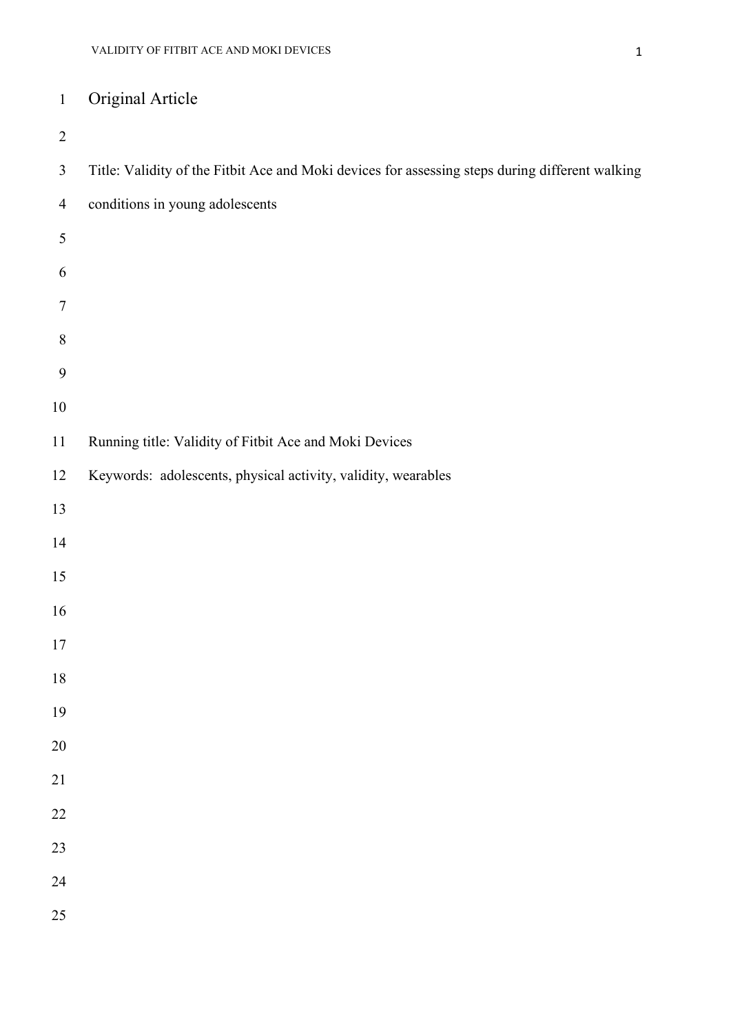## Original Article

| $\overline{2}$   |                                                                                                 |
|------------------|-------------------------------------------------------------------------------------------------|
| $\mathfrak{Z}$   | Title: Validity of the Fitbit Ace and Moki devices for assessing steps during different walking |
| $\overline{4}$   | conditions in young adolescents                                                                 |
| $\mathfrak s$    |                                                                                                 |
| 6                |                                                                                                 |
| $\boldsymbol{7}$ |                                                                                                 |
| $8\,$            |                                                                                                 |
| 9                |                                                                                                 |
| $10\,$           |                                                                                                 |
| $11\,$           | Running title: Validity of Fitbit Ace and Moki Devices                                          |
| 12               | Keywords: adolescents, physical activity, validity, wearables                                   |
| 13               |                                                                                                 |
| 14               |                                                                                                 |
| 15               |                                                                                                 |
| 16               |                                                                                                 |
| $17\,$           |                                                                                                 |
| 18               |                                                                                                 |
| 19               |                                                                                                 |
| 20               |                                                                                                 |
| 21               |                                                                                                 |
| $\overline{22}$  |                                                                                                 |
| 23               |                                                                                                 |
| 24               |                                                                                                 |
| 25               |                                                                                                 |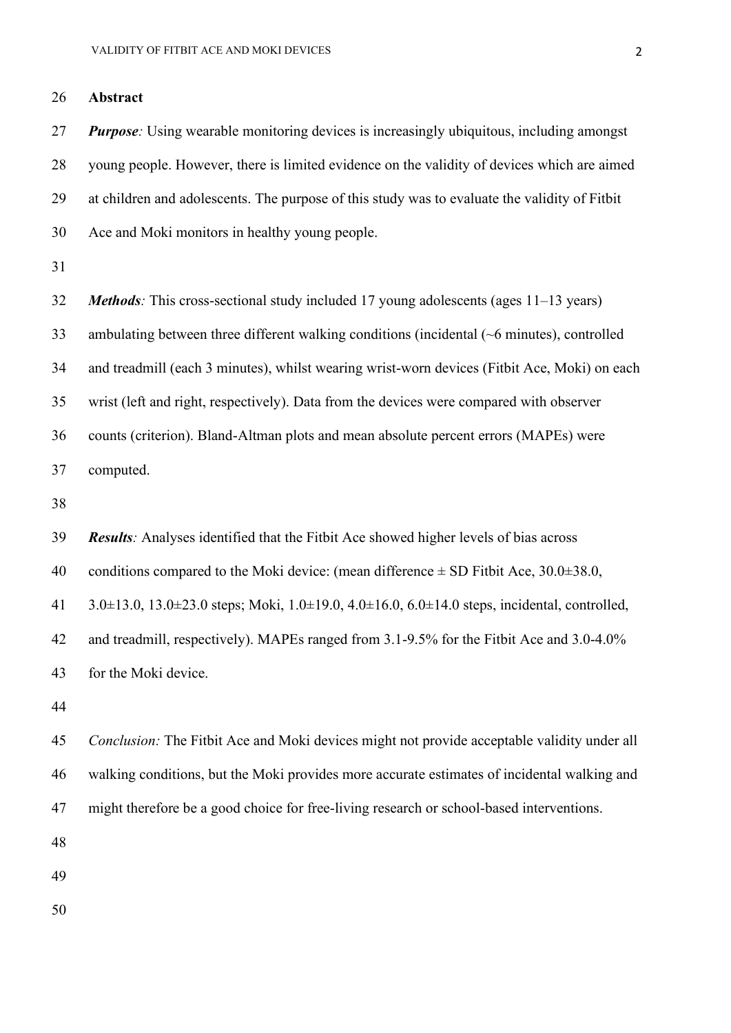**Abstract**

 *Purpose:* Using wearable monitoring devices is increasingly ubiquitous, including amongst young people. However, there is limited evidence on the validity of devices which are aimed at children and adolescents. The purpose of this study was to evaluate the validity of Fitbit Ace and Moki monitors in healthy young people.

 *Methods:* This cross-sectional study included 17 young adolescents (ages 11–13 years) ambulating between three different walking conditions (incidental (~6 minutes), controlled and treadmill (each 3 minutes), whilst wearing wrist-worn devices (Fitbit Ace, Moki) on each wrist (left and right, respectively). Data from the devices were compared with observer counts (criterion). Bland-Altman plots and mean absolute percent errors (MAPEs) were computed.

*Results:* Analyses identified that the Fitbit Ace showed higher levels of bias across

40 conditions compared to the Moki device: (mean difference  $\pm$  SD Fitbit Ace, 30.0 $\pm$ 38.0,

3.0±13.0, 13.0±23.0 steps; Moki, 1.0±19.0, 4.0±16.0, 6.0±14.0 steps, incidental, controlled,

and treadmill, respectively). MAPEs ranged from 3.1-9.5% for the Fitbit Ace and 3.0-4.0%

for the Moki device.

 *Conclusion:* The Fitbit Ace and Moki devices might not provide acceptable validity under all walking conditions, but the Moki provides more accurate estimates of incidental walking and might therefore be a good choice for free-living research or school-based interventions.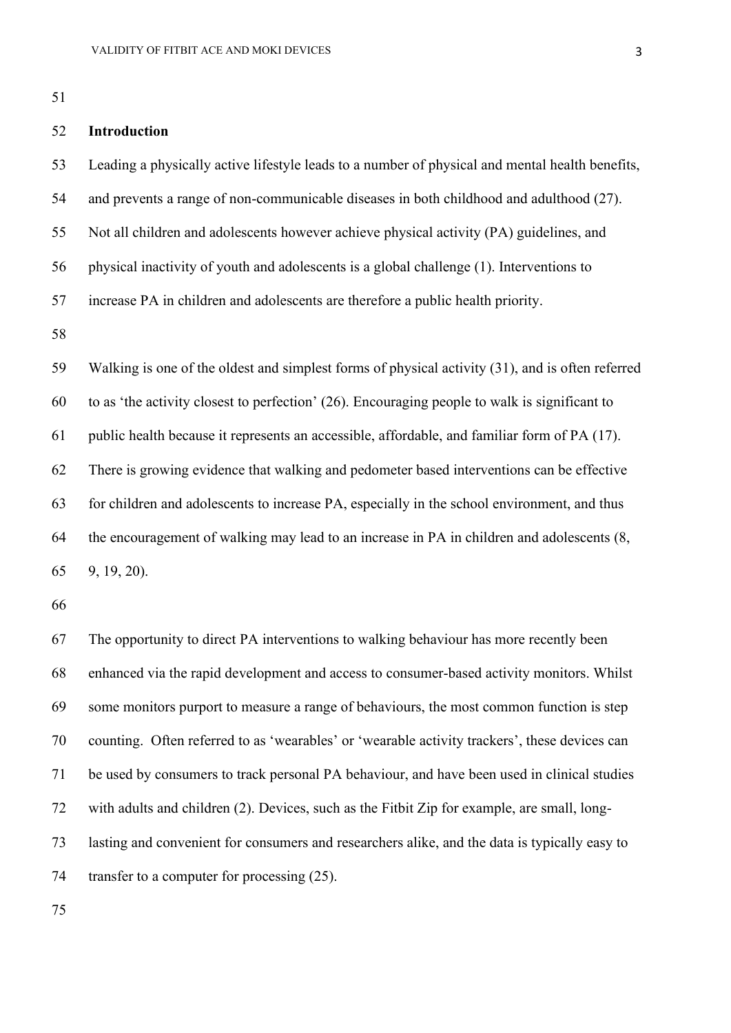## **Introduction**

 Leading a physically active lifestyle leads to a number of physical and mental health benefits, and prevents a range of non-communicable diseases in both childhood and adulthood (27). Not all children and adolescents however achieve physical activity (PA) guidelines, and

physical inactivity of youth and adolescents is a global challenge (1). Interventions to

increase PA in children and adolescents are therefore a public health priority.

 Walking is one of the oldest and simplest forms of physical activity (31), and is often referred to as 'the activity closest to perfection' (26). Encouraging people to walk is significant to public health because it represents an accessible, affordable, and familiar form of PA (17). There is growing evidence that walking and pedometer based interventions can be effective for children and adolescents to increase PA, especially in the school environment, and thus the encouragement of walking may lead to an increase in PA in children and adolescents (8, 9, 19, 20).

 The opportunity to direct PA interventions to walking behaviour has more recently been enhanced via the rapid development and access to consumer-based activity monitors. Whilst some monitors purport to measure a range of behaviours, the most common function is step counting. Often referred to as 'wearables' or 'wearable activity trackers', these devices can be used by consumers to track personal PA behaviour, and have been used in clinical studies with adults and children (2). Devices, such as the Fitbit Zip for example, are small, long- lasting and convenient for consumers and researchers alike, and the data is typically easy to 74 transfer to a computer for processing  $(25)$ .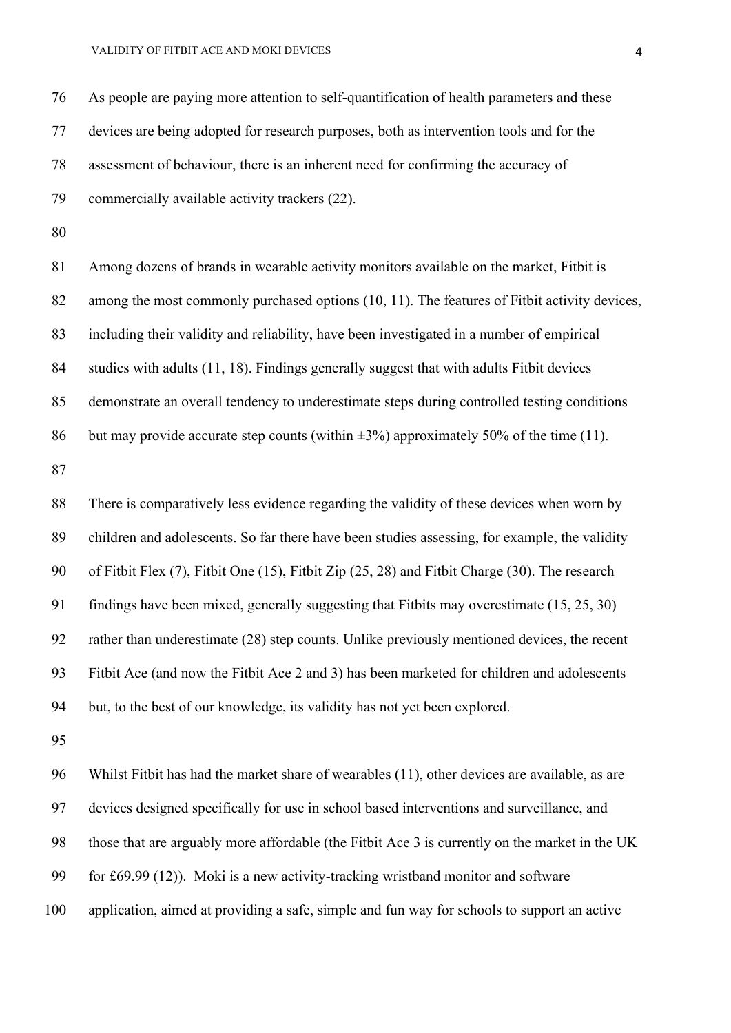As people are paying more attention to self-quantification of health parameters and these devices are being adopted for research purposes, both as intervention tools and for the assessment of behaviour, there is an inherent need for confirming the accuracy of commercially available activity trackers (22).

 Among dozens of brands in wearable activity monitors available on the market, Fitbit is among the most commonly purchased options (10, 11). The features of Fitbit activity devices, including their validity and reliability, have been investigated in a number of empirical studies with adults (11, 18). Findings generally suggest that with adults Fitbit devices demonstrate an overall tendency to underestimate steps during controlled testing conditions 86 but may provide accurate step counts (within  $\pm 3\%$ ) approximately 50% of the time (11).

 There is comparatively less evidence regarding the validity of these devices when worn by children and adolescents. So far there have been studies assessing, for example, the validity of Fitbit Flex (7), Fitbit One (15), Fitbit Zip (25, 28) and Fitbit Charge (30). The research findings have been mixed, generally suggesting that Fitbits may overestimate (15, 25, 30) rather than underestimate (28) step counts. Unlike previously mentioned devices, the recent Fitbit Ace (and now the Fitbit Ace 2 and 3) has been marketed for children and adolescents but, to the best of our knowledge, its validity has not yet been explored.

 Whilst Fitbit has had the market share of wearables (11), other devices are available, as are devices designed specifically for use in school based interventions and surveillance, and those that are arguably more affordable (the Fitbit Ace 3 is currently on the market in the UK for £69.99 (12)). Moki is a new activity-tracking wristband monitor and software application, aimed at providing a safe, simple and fun way for schools to support an active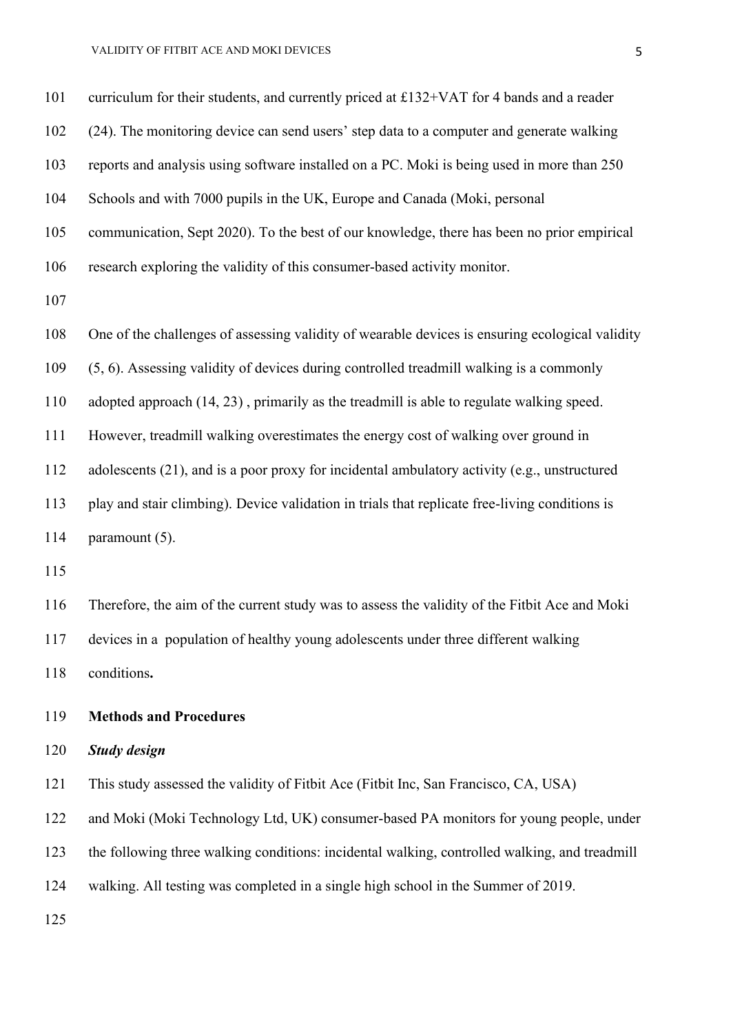#### VALIDITY OF FITBIT ACE AND MOKI DEVICES

| 101 | curriculum for their students, and currently priced at £132+VAT for 4 bands and a reader        |
|-----|-------------------------------------------------------------------------------------------------|
| 102 | (24). The monitoring device can send users' step data to a computer and generate walking        |
| 103 | reports and analysis using software installed on a PC. Moki is being used in more than 250      |
| 104 | Schools and with 7000 pupils in the UK, Europe and Canada (Moki, personal                       |
| 105 | communication, Sept 2020). To the best of our knowledge, there has been no prior empirical      |
| 106 | research exploring the validity of this consumer-based activity monitor.                        |
| 107 |                                                                                                 |
| 108 | One of the challenges of assessing validity of wearable devices is ensuring ecological validity |
| 109 | (5, 6). Assessing validity of devices during controlled treadmill walking is a commonly         |
| 110 | adopted approach (14, 23), primarily as the treadmill is able to regulate walking speed.        |
| 111 | However, treadmill walking overestimates the energy cost of walking over ground in              |
| 112 | adolescents (21), and is a poor proxy for incidental ambulatory activity (e.g., unstructured    |
| 113 | play and stair climbing). Device validation in trials that replicate free-living conditions is  |
| 114 | paramount (5).                                                                                  |
| 115 |                                                                                                 |
| 116 | Therefore, the aim of the current study was to assess the validity of the Fitbit Ace and Moki   |

devices in a population of healthy young adolescents under three different walking

conditions**.**

## **Methods and Procedures**

## *Study design*

This study assessed the validity of Fitbit Ace (Fitbit Inc, San Francisco, CA, USA)

and Moki (Moki Technology Ltd, UK) consumer-based PA monitors for young people, under

the following three walking conditions: incidental walking, controlled walking, and treadmill

walking. All testing was completed in a single high school in the Summer of 2019.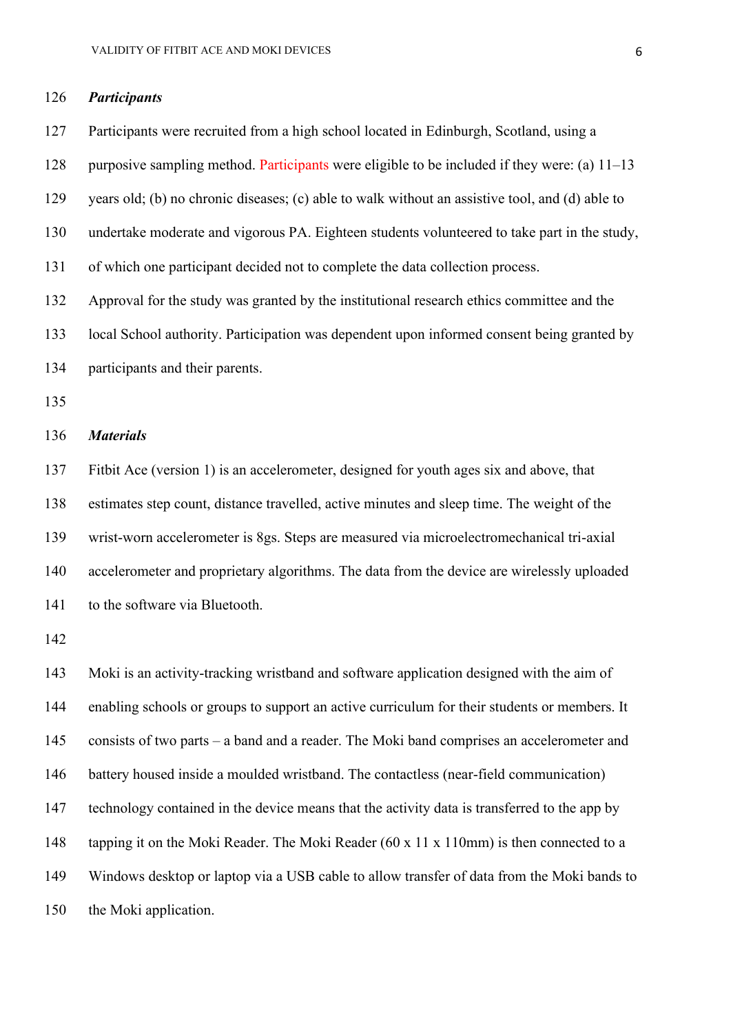#### *Participants*

 Participants were recruited from a high school located in Edinburgh, Scotland, using a purposive sampling method. Participants were eligible to be included if they were: (a) 11–13 years old; (b) no chronic diseases; (c) able to walk without an assistive tool, and (d) able to undertake moderate and vigorous PA. Eighteen students volunteered to take part in the study, of which one participant decided not to complete the data collection process. Approval for the study was granted by the institutional research ethics committee and the local School authority. Participation was dependent upon informed consent being granted by participants and their parents. *Materials* Fitbit Ace (version 1) is an accelerometer, designed for youth ages six and above, that estimates step count, distance travelled, active minutes and sleep time. The weight of the wrist-worn accelerometer is 8gs. Steps are measured via microelectromechanical tri-axial accelerometer and proprietary algorithms. The data from the device are wirelessly uploaded

141 to the software via Bluetooth.

 Moki is an activity-tracking wristband and software application designed with the aim of enabling schools or groups to support an active curriculum for their students or members. It consists of two parts – a band and a reader. The Moki band comprises an accelerometer and battery housed inside a moulded wristband. The contactless (near-field communication) technology contained in the device means that the activity data is transferred to the app by tapping it on the Moki Reader. The Moki Reader (60 x 11 x 110mm) is then connected to a Windows desktop or laptop via a USB cable to allow transfer of data from the Moki bands to the Moki application.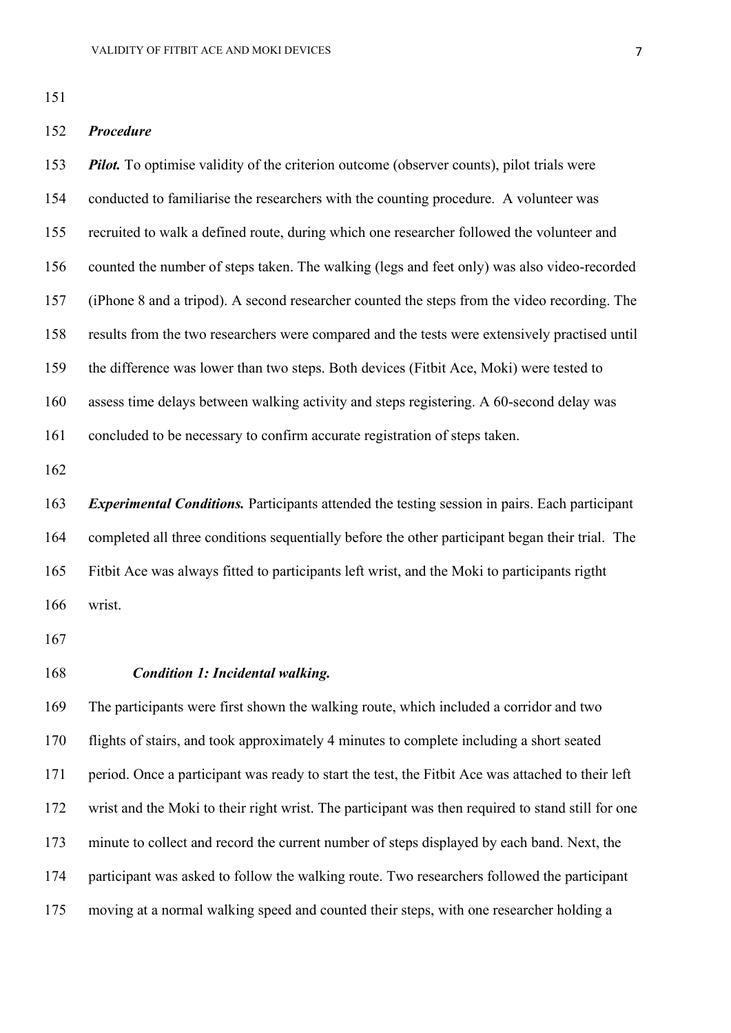## *Procedure*

 *Pilot.* To optimise validity of the criterion outcome (observer counts), pilot trials were conducted to familiarise the researchers with the counting procedure. A volunteer was recruited to walk a defined route, during which one researcher followed the volunteer and counted the number of steps taken. The walking (legs and feet only) was also video-recorded (iPhone 8 and a tripod). A second researcher counted the steps from the video recording. The results from the two researchers were compared and the tests were extensively practised until the difference was lower than two steps. Both devices (Fitbit Ace, Moki) were tested to assess time delays between walking activity and steps registering. A 60-second delay was concluded to be necessary to confirm accurate registration of steps taken.

 *Experimental Conditions.* Participants attended the testing session in pairs. Each participant completed all three conditions sequentially before the other participant began their trial. The Fitbit Ace was always fitted to participants left wrist, and the Moki to participants rigtht wrist.

## *Condition 1: Incidental walking.*

 The participants were first shown the walking route, which included a corridor and two flights of stairs, and took approximately 4 minutes to complete including a short seated period. Once a participant was ready to start the test, the Fitbit Ace was attached to their left wrist and the Moki to their right wrist. The participant was then required to stand still for one minute to collect and record the current number of steps displayed by each band. Next, the participant was asked to follow the walking route. Two researchers followed the participant moving at a normal walking speed and counted their steps, with one researcher holding a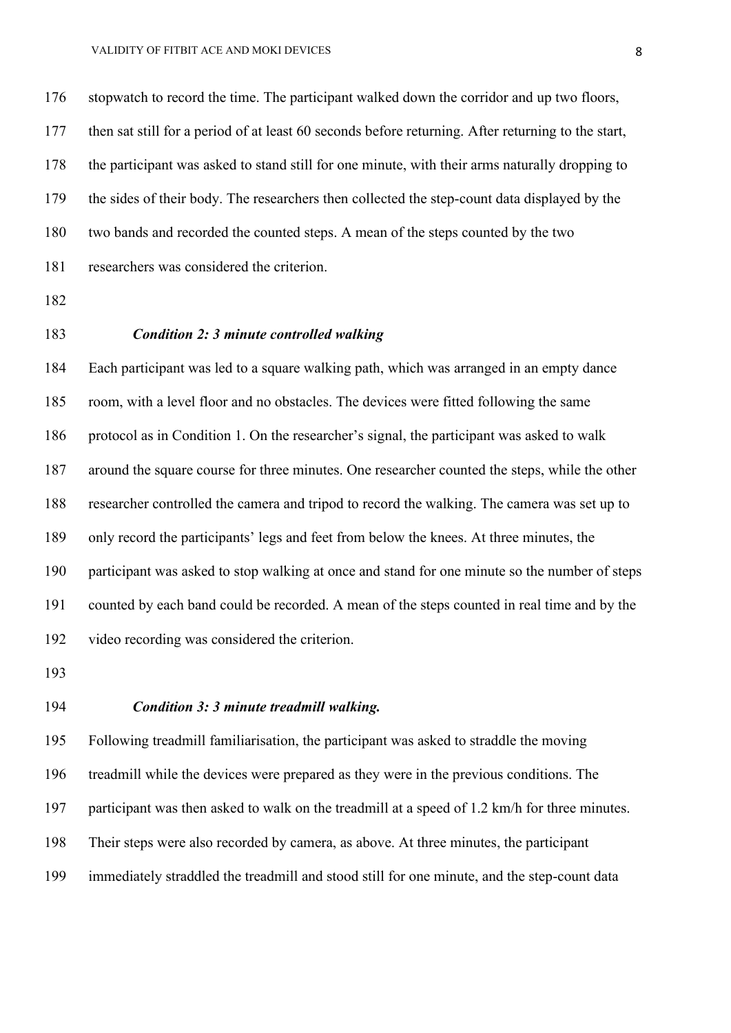stopwatch to record the time. The participant walked down the corridor and up two floors, then sat still for a period of at least 60 seconds before returning. After returning to the start, the participant was asked to stand still for one minute, with their arms naturally dropping to the sides of their body. The researchers then collected the step-count data displayed by the two bands and recorded the counted steps. A mean of the steps counted by the two researchers was considered the criterion.

- 
- 

## *Condition 2: 3 minute controlled walking*

 Each participant was led to a square walking path, which was arranged in an empty dance room, with a level floor and no obstacles. The devices were fitted following the same protocol as in Condition 1. On the researcher's signal, the participant was asked to walk around the square course for three minutes. One researcher counted the steps, while the other researcher controlled the camera and tripod to record the walking. The camera was set up to only record the participants' legs and feet from below the knees. At three minutes, the participant was asked to stop walking at once and stand for one minute so the number of steps counted by each band could be recorded. A mean of the steps counted in real time and by the video recording was considered the criterion.

## *Condition 3: 3 minute treadmill walking.*

 Following treadmill familiarisation, the participant was asked to straddle the moving treadmill while the devices were prepared as they were in the previous conditions. The participant was then asked to walk on the treadmill at a speed of 1.2 km/h for three minutes. Their steps were also recorded by camera, as above. At three minutes, the participant immediately straddled the treadmill and stood still for one minute, and the step-count data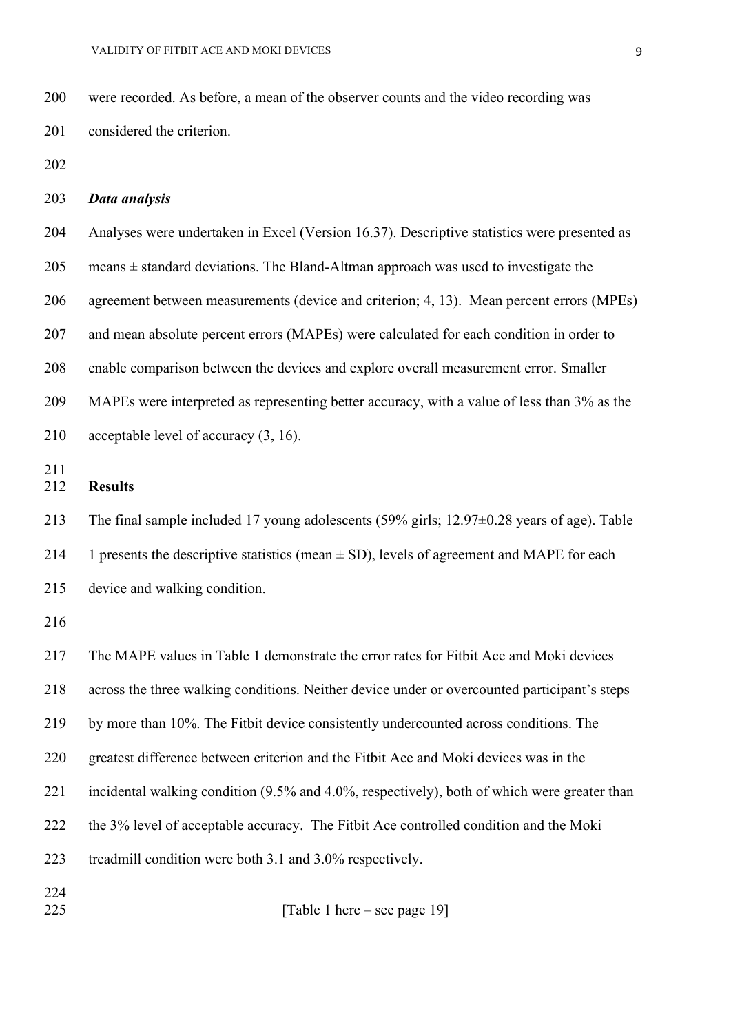were recorded. As before, a mean of the observer counts and the video recording was considered the criterion.

## *Data analysis*

 Analyses were undertaken in Excel (Version 16.37). Descriptive statistics were presented as 205 means  $\pm$  standard deviations. The Bland-Altman approach was used to investigate the agreement between measurements (device and criterion; 4, 13). Mean percent errors (MPEs) and mean absolute percent errors (MAPEs) were calculated for each condition in order to enable comparison between the devices and explore overall measurement error. Smaller MAPEs were interpreted as representing better accuracy, with a value of less than 3% as the 210 acceptable level of accuracy  $(3, 16)$ .

## **Results**

 The final sample included 17 young adolescents (59% girls; 12.97±0.28 years of age). Table 214 1 presents the descriptive statistics (mean  $\pm$  SD), levels of agreement and MAPE for each

device and walking condition.

 The MAPE values in Table 1 demonstrate the error rates for Fitbit Ace and Moki devices across the three walking conditions. Neither device under or overcounted participant's steps by more than 10%. The Fitbit device consistently undercounted across conditions. The greatest difference between criterion and the Fitbit Ace and Moki devices was in the incidental walking condition (9.5% and 4.0%, respectively), both of which were greater than the 3% level of acceptable accuracy. The Fitbit Ace controlled condition and the Moki treadmill condition were both 3.1 and 3.0% respectively. 

**[Table 1 here** – see page 19]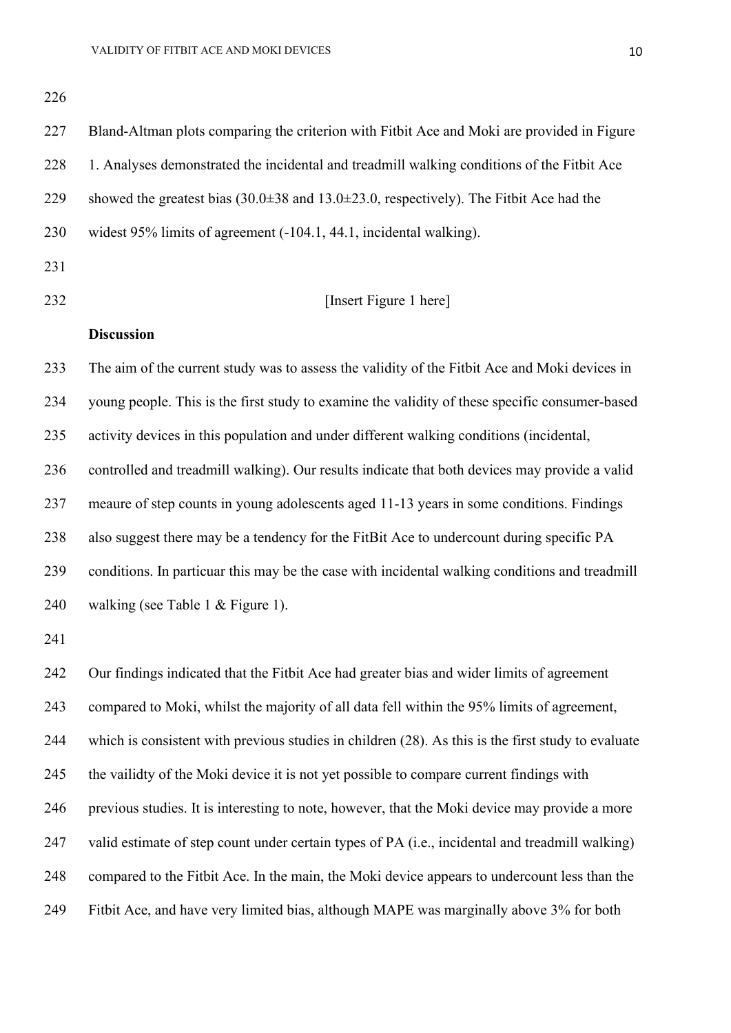Bland-Altman plots comparing the criterion with Fitbit Ace and Moki are provided in Figure 1. Analyses demonstrated the incidental and treadmill walking conditions of the Fitbit Ace 229 showed the greatest bias  $(30.0\pm 38 \text{ and } 13.0\pm 23.0)$ , respectively). The Fitbit Ace had the widest 95% limits of agreement (-104.1, 44.1, incidental walking). **Insert Figure 1 here Discussion** The aim of the current study was to assess the validity of the Fitbit Ace and Moki devices in young people. This is the first study to examine the validity of these specific consumer-based activity devices in this population and under different walking conditions (incidental, controlled and treadmill walking). Our results indicate that both devices may provide a valid meaure of step counts in young adolescents aged 11-13 years in some conditions. Findings also suggest there may be a tendency for the FitBit Ace to undercount during specific PA conditions. In particuar this may be the case with incidental walking conditions and treadmill 240 walking (see Table 1 & Figure 1). Our findings indicated that the Fitbit Ace had greater bias and wider limits of agreement compared to Moki, whilst the majority of all data fell within the 95% limits of agreement, which is consistent with previous studies in children (28). As this is the first study to evaluate

 the vailidty of the Moki device it is not yet possible to compare current findings with previous studies. It is interesting to note, however, that the Moki device may provide a more

valid estimate of step count under certain types of PA (i.e., incidental and treadmill walking)

compared to the Fitbit Ace. In the main, the Moki device appears to undercount less than the

Fitbit Ace, and have very limited bias, although MAPE was marginally above 3% for both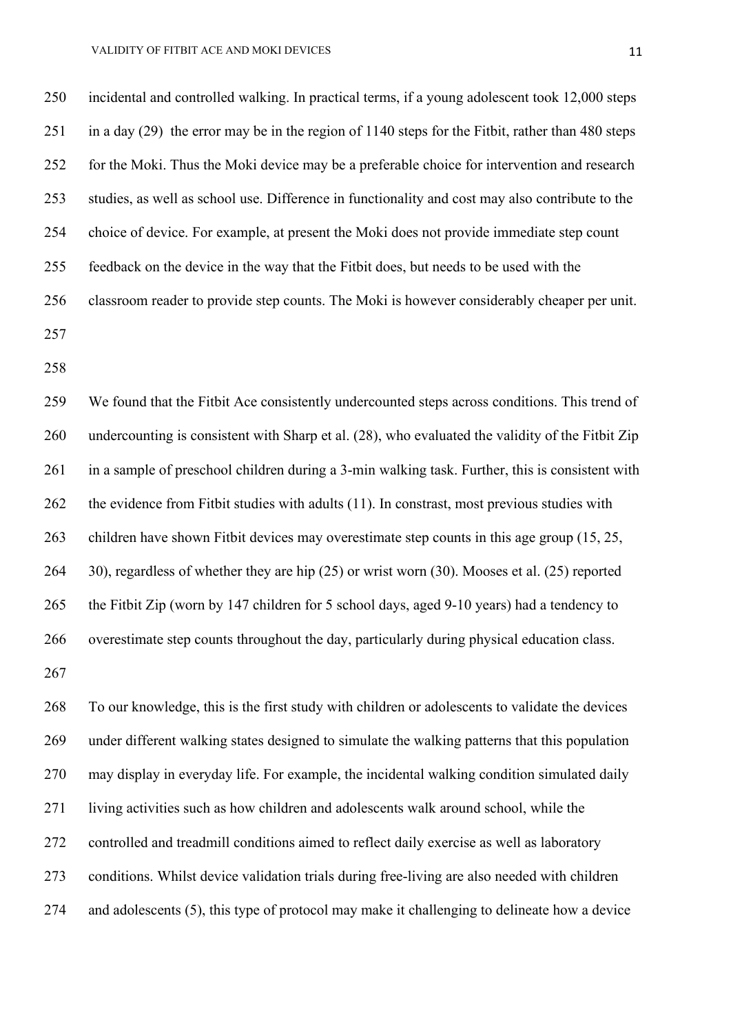incidental and controlled walking. In practical terms, if a young adolescent took 12,000 steps in a day (29) the error may be in the region of 1140 steps for the Fitbit, rather than 480 steps for the Moki. Thus the Moki device may be a preferable choice for intervention and research studies, as well as school use. Difference in functionality and cost may also contribute to the choice of device. For example, at present the Moki does not provide immediate step count feedback on the device in the way that the Fitbit does, but needs to be used with the classroom reader to provide step counts. The Moki is however considerably cheaper per unit. 

 We found that the Fitbit Ace consistently undercounted steps across conditions. This trend of undercounting is consistent with Sharp et al. (28), who evaluated the validity of the Fitbit Zip in a sample of preschool children during a 3-min walking task. Further, this is consistent with 262 the evidence from Fitbit studies with adults (11). In constrast, most previous studies with children have shown Fitbit devices may overestimate step counts in this age group (15, 25, 30), regardless of whether they are hip (25) or wrist worn (30). Mooses et al. (25) reported the Fitbit Zip (worn by 147 children for 5 school days, aged 9-10 years) had a tendency to overestimate step counts throughout the day, particularly during physical education class. 

 To our knowledge, this is the first study with children or adolescents to validate the devices under different walking states designed to simulate the walking patterns that this population may display in everyday life. For example, the incidental walking condition simulated daily living activities such as how children and adolescents walk around school, while the controlled and treadmill conditions aimed to reflect daily exercise as well as laboratory conditions. Whilst device validation trials during free-living are also needed with children and adolescents (5), this type of protocol may make it challenging to delineate how a device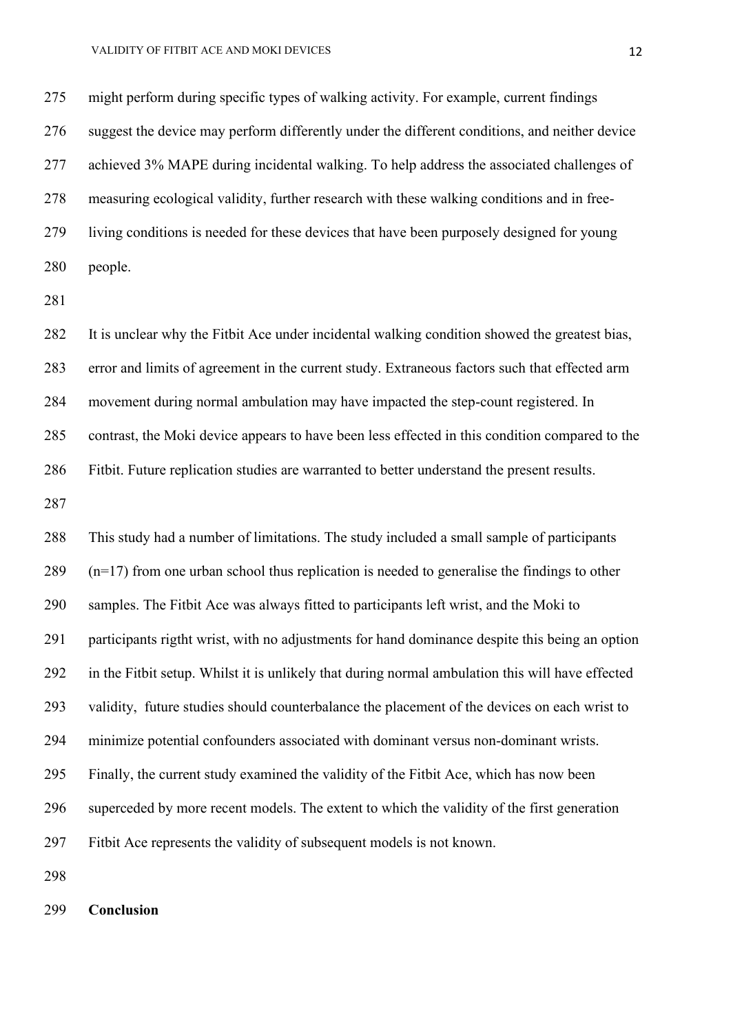might perform during specific types of walking activity. For example, current findings suggest the device may perform differently under the different conditions, and neither device achieved 3% MAPE during incidental walking. To help address the associated challenges of measuring ecological validity, further research with these walking conditions and in free- living conditions is needed for these devices that have been purposely designed for young people.

 It is unclear why the Fitbit Ace under incidental walking condition showed the greatest bias, error and limits of agreement in the current study. Extraneous factors such that effected arm movement during normal ambulation may have impacted the step-count registered. In contrast, the Moki device appears to have been less effected in this condition compared to the Fitbit. Future replication studies are warranted to better understand the present results. 

 This study had a number of limitations. The study included a small sample of participants (n=17) from one urban school thus replication is needed to generalise the findings to other samples. The Fitbit Ace was always fitted to participants left wrist, and the Moki to participants rigtht wrist, with no adjustments for hand dominance despite this being an option in the Fitbit setup. Whilst it is unlikely that during normal ambulation this will have effected validity, future studies should counterbalance the placement of the devices on each wrist to minimize potential confounders associated with dominant versus non-dominant wrists. Finally, the current study examined the validity of the Fitbit Ace, which has now been superceded by more recent models. The extent to which the validity of the first generation Fitbit Ace represents the validity of subsequent models is not known. 

**Conclusion**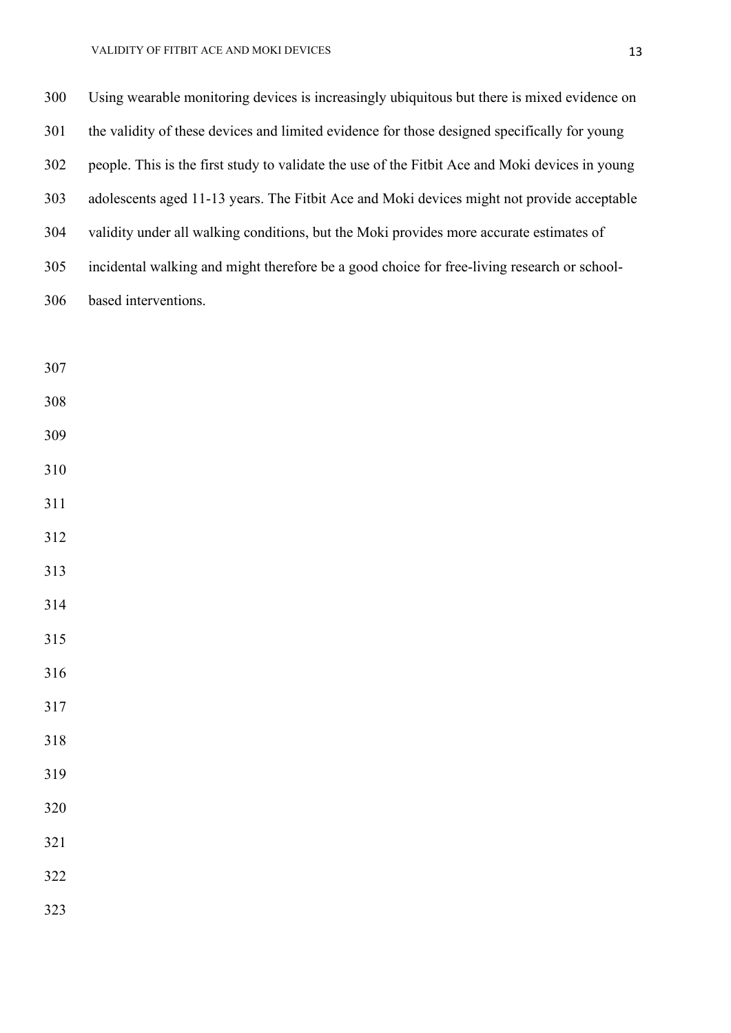| 300 | Using wearable monitoring devices is increasingly ubiquitous but there is mixed evidence on     |
|-----|-------------------------------------------------------------------------------------------------|
| 301 | the validity of these devices and limited evidence for those designed specifically for young    |
| 302 | people. This is the first study to validate the use of the Fitbit Ace and Moki devices in young |
| 303 | adolescents aged 11-13 years. The Fitbit Ace and Moki devices might not provide acceptable      |
| 304 | validity under all walking conditions, but the Moki provides more accurate estimates of         |
| 305 | incidental walking and might therefore be a good choice for free-living research or school-     |
| 306 | based interventions.                                                                            |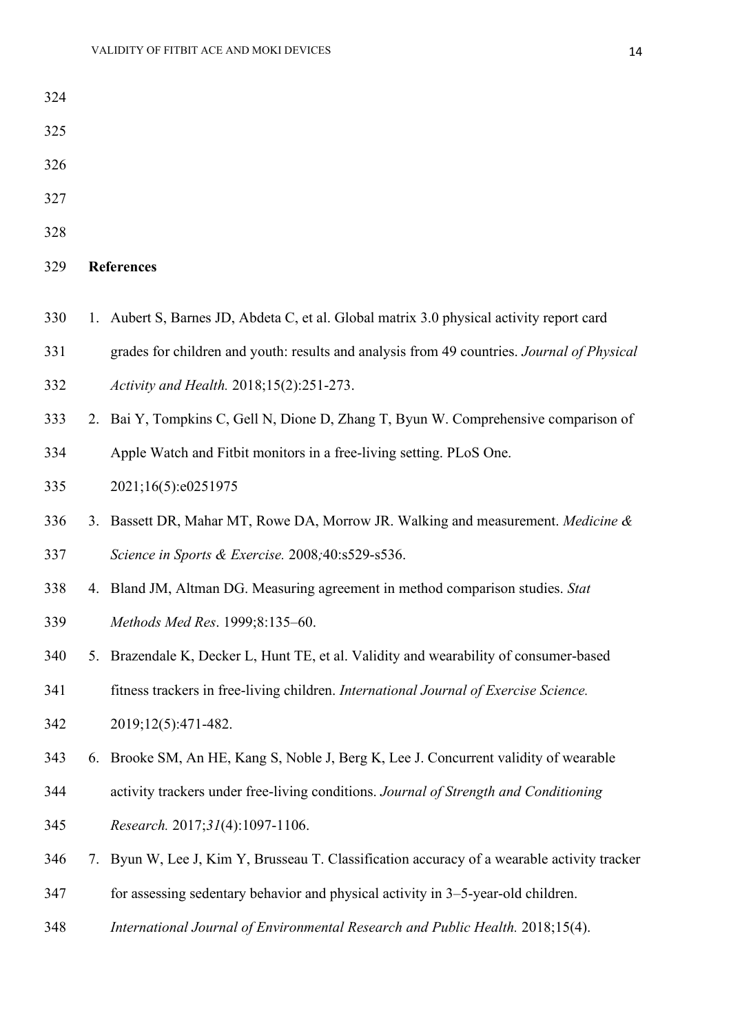| 325 |    |                                                                                            |  |  |  |  |  |  |
|-----|----|--------------------------------------------------------------------------------------------|--|--|--|--|--|--|
| 326 |    |                                                                                            |  |  |  |  |  |  |
| 327 |    |                                                                                            |  |  |  |  |  |  |
| 328 |    |                                                                                            |  |  |  |  |  |  |
| 329 |    | <b>References</b>                                                                          |  |  |  |  |  |  |
| 330 |    | 1. Aubert S, Barnes JD, Abdeta C, et al. Global matrix 3.0 physical activity report card   |  |  |  |  |  |  |
| 331 |    | grades for children and youth: results and analysis from 49 countries. Journal of Physical |  |  |  |  |  |  |
| 332 |    | Activity and Health. 2018;15(2):251-273.                                                   |  |  |  |  |  |  |
| 333 |    | 2. Bai Y, Tompkins C, Gell N, Dione D, Zhang T, Byun W. Comprehensive comparison of        |  |  |  |  |  |  |
| 334 |    | Apple Watch and Fitbit monitors in a free-living setting. PLoS One.                        |  |  |  |  |  |  |
| 335 |    | 2021;16(5):e0251975                                                                        |  |  |  |  |  |  |
| 336 |    | 3. Bassett DR, Mahar MT, Rowe DA, Morrow JR. Walking and measurement. Medicine &           |  |  |  |  |  |  |
| 337 |    | Science in Sports & Exercise. 2008;40:s529-s536.                                           |  |  |  |  |  |  |
| 338 |    | 4. Bland JM, Altman DG. Measuring agreement in method comparison studies. Stat             |  |  |  |  |  |  |
| 339 |    | Methods Med Res. 1999;8:135-60.                                                            |  |  |  |  |  |  |
| 340 |    | 5. Brazendale K, Decker L, Hunt TE, et al. Validity and wearability of consumer-based      |  |  |  |  |  |  |
| 341 |    | fitness trackers in free-living children. International Journal of Exercise Science.       |  |  |  |  |  |  |
| 342 |    | 2019;12(5):471-482.                                                                        |  |  |  |  |  |  |
| 343 | 6. | Brooke SM, An HE, Kang S, Noble J, Berg K, Lee J. Concurrent validity of wearable          |  |  |  |  |  |  |
| 344 |    | activity trackers under free-living conditions. Journal of Strength and Conditioning       |  |  |  |  |  |  |
| 345 |    | Research. 2017;31(4):1097-1106.                                                            |  |  |  |  |  |  |
| 346 | 7. | Byun W, Lee J, Kim Y, Brusseau T. Classification accuracy of a wearable activity tracker   |  |  |  |  |  |  |
| 347 |    | for assessing sedentary behavior and physical activity in 3–5-year-old children.           |  |  |  |  |  |  |
| 348 |    | International Journal of Environmental Research and Public Health. 2018;15(4).             |  |  |  |  |  |  |
|     |    |                                                                                            |  |  |  |  |  |  |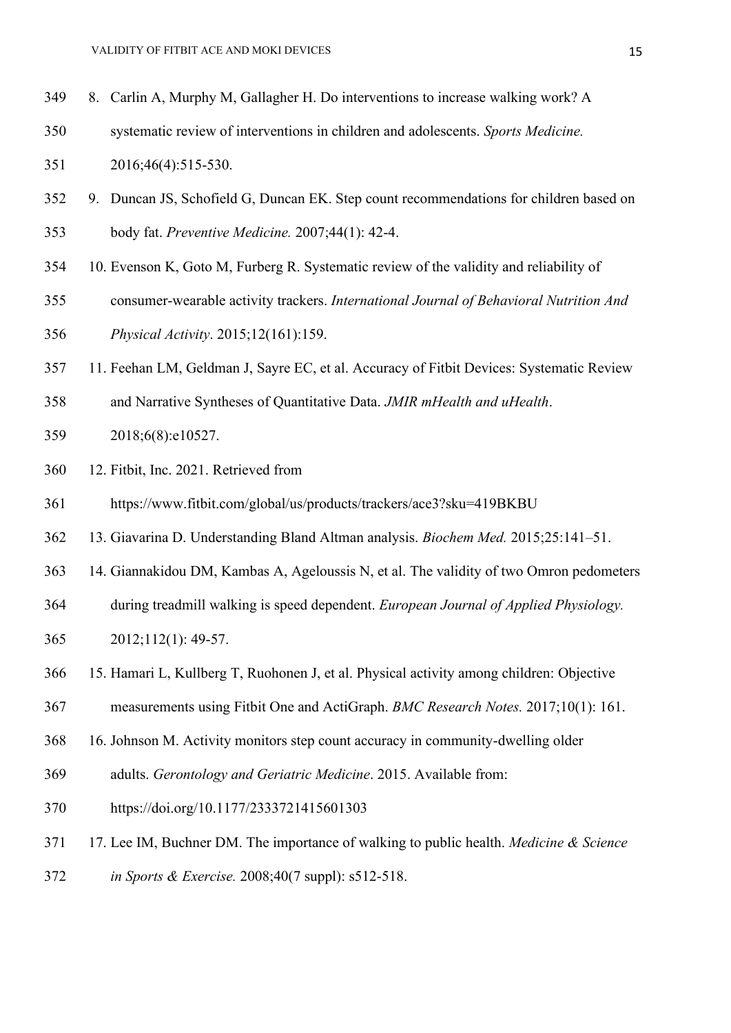- 8. Carlin A, Murphy M, Gallagher H. Do interventions to increase walking work? A
- systematic review of interventions in children and adolescents. *Sports Medicine.*

2016;46(4):515-530.

- 9. Duncan JS, Schofield G, Duncan EK. Step count recommendations for children based on body fat. *Preventive Medicine.* 2007;44(1): 42-4.
- 10. Evenson K, Goto M, Furberg R. Systematic review of the validity and reliability of
- consumer-wearable activity trackers. *International Journal of Behavioral Nutrition And*

*Physical Activity*. 2015;12(161):159.

- 11. Feehan LM, Geldman J, Sayre EC, et al. Accuracy of Fitbit Devices: Systematic Review
- and Narrative Syntheses of Quantitative Data. *JMIR mHealth and uHealth*.
- 2018;6(8):e10527.
- 12. Fitbit, Inc. 2021. Retrieved from
- https://www.fitbit.com/global/us/products/trackers/ace3?sku=419BKBU
- 13. Giavarina D. Understanding Bland Altman analysis. *Biochem Med.* 2015;25:141–51.
- 14. Giannakidou DM, Kambas A, Ageloussis N, et al. The validity of two Omron pedometers
- during treadmill walking is speed dependent. *European Journal of Applied Physiology.*
- 2012;112(1): 49-57.
- 15. Hamari L, Kullberg T, Ruohonen J, et al. Physical activity among children: Objective
- measurements using Fitbit One and ActiGraph. *BMC Research Notes.* 2017;10(1): 161.
- 16. Johnson M. Activity monitors step count accuracy in community-dwelling older
- adults. *Gerontology and Geriatric Medicine*. 2015. Available from:
- https://doi.org/10.1177/2333721415601303
- 17. Lee IM, Buchner DM. The importance of walking to public health. *Medicine & Science*
- *in Sports & Exercise.* 2008;40(7 suppl): s512-518.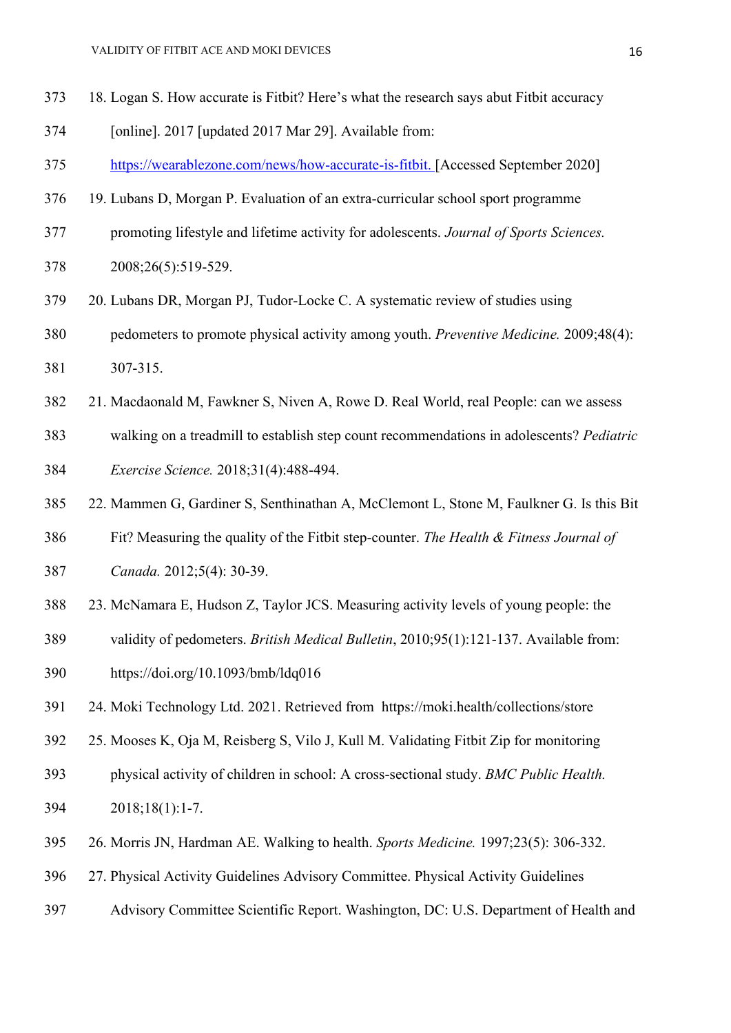- 18. Logan S. How accurate is Fitbit? Here's what the research says abut Fitbit accuracy
- [online]. 2017 [updated 2017 Mar 29]. Available from:
- [https://wearablezone.com/news/how-accurate-is-fitbit.](https://wearablezone.com/news/how-accurate-is-fitbit) [Accessed September 2020]
- 19. Lubans D, Morgan P. Evaluation of an extra-curricular school sport programme
- promoting lifestyle and lifetime activity for adolescents. *Journal of Sports Sciences.*
- 2008;26(5):519-529.
- 20. Lubans DR, Morgan PJ, Tudor-Locke C. A systematic review of studies using

pedometers to promote physical activity among youth. *Preventive Medicine.* 2009;48(4):

- 307-315.
- 21. Macdaonald M, Fawkner S, Niven A, Rowe D. Real World, real People: can we assess
- walking on a treadmill to establish step count recommendations in adolescents? *Pediatric Exercise Science.* 2018;31(4):488-494.
- 22. Mammen G, Gardiner S, Senthinathan A, McClemont L, Stone M, Faulkner G. Is this Bit
- Fit? Measuring the quality of the Fitbit step-counter. *The Health & Fitness Journal of Canada.* 2012;5(4): 30-39.
- 23. McNamara E, Hudson Z, Taylor JCS. Measuring activity levels of young people: the
- validity of pedometers. *British Medical Bulletin*, 2010;95(1):121-137. Available from:
- <https://doi.org/10.1093/bmb/ldq016>
- 24. Moki Technology Ltd. 2021. Retrieved from https://moki.health/collections/store
- 25. Mooses K, Oja M, Reisberg S, Vilo J, Kull M. Validating Fitbit Zip for monitoring
- physical activity of children in school: A cross-sectional study. *BMC Public Health.*  2018;18(1):1-7.
- 26. Morris JN, Hardman AE. Walking to health. *Sports Medicine.* 1997;23(5): 306-332.
- 27. Physical Activity Guidelines Advisory Committee. Physical Activity Guidelines
- Advisory Committee Scientific Report. Washington, DC: U.S. Department of Health and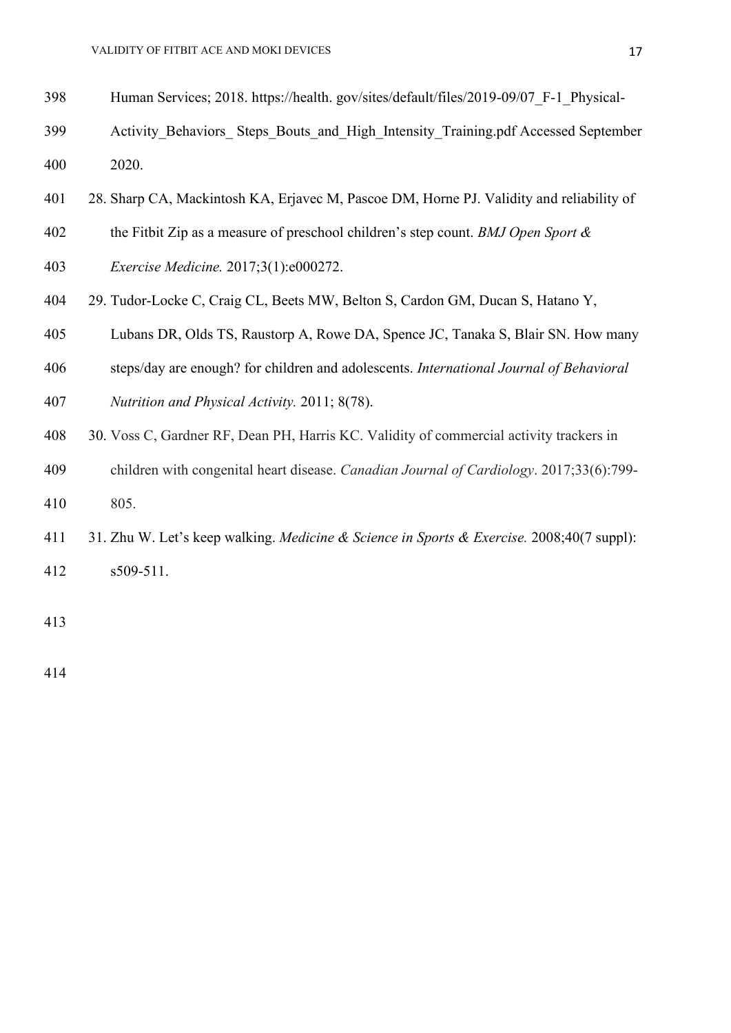- Human Services; 2018. https://health. gov/sites/default/files/2019-09/07\_F-1\_Physical-
- Activity\_Behaviors\_ Steps\_Bouts\_and\_High\_Intensity\_Training.pdf Accessed September 2020.
- 28. Sharp CA, Mackintosh KA, Erjavec M, Pascoe DM, Horne PJ. Validity and reliability of
- the Fitbit Zip as a measure of preschool children's step count. *BMJ Open Sport &*
- *Exercise Medicine.* 2017;3(1):e000272.
- 29. Tudor-Locke C, Craig CL, Beets MW, Belton S, Cardon GM, Ducan S, Hatano Y,
- Lubans DR, Olds TS, Raustorp A, Rowe DA, Spence JC, Tanaka S, Blair SN. How many
- steps/day are enough? for children and adolescents. *[International Journal of Behavioral](https://www.ncbi.nlm.nih.gov/pmc/articles/PMC3166269/)*
- *[Nutrition and Physical Activity.](https://www.ncbi.nlm.nih.gov/pmc/articles/PMC3166269/)* 2011; 8(78).
- 30. Voss C, Gardner RF, Dean PH, Harris KC. Validity of commercial activity trackers in
- children with congenital heart disease. *Canadian Journal of Cardiology*. 2017;33(6):799- 805.
- 31. Zhu W. Let's keep walking. *Medicine & Science in Sports & Exercise.* 2008;40(7 suppl): s509-511.
-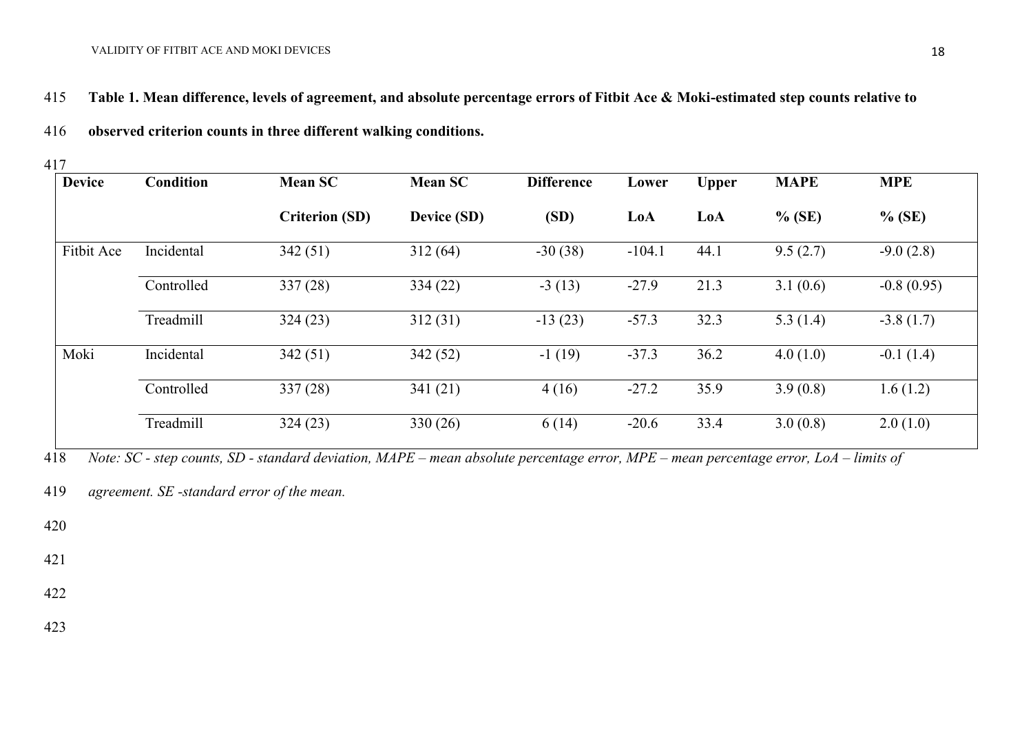#### VALIDITY OF FITBIT ACE AND MOKI DEVICES

- 415 **Table 1. Mean difference, levels of agreement, and absolute percentage errors of Fitbit Ace & Moki-estimated step counts relative to**
- 416 **observed criterion counts in three different walking conditions.**

417

| <b>Device</b> | Condition  | <b>Mean SC</b>        | <b>Mean SC</b> | <b>Difference</b> | Lower    | <b>Upper</b> | <b>MAPE</b> | <b>MPE</b>   |
|---------------|------------|-----------------------|----------------|-------------------|----------|--------------|-------------|--------------|
|               |            | <b>Criterion (SD)</b> | Device (SD)    | (SD)              | LoA      | LoA          | $%$ (SE)    | $%$ (SE)     |
| Fitbit Ace    | Incidental | 342(51)               | 312(64)        | $-30(38)$         | $-104.1$ | 44.1         | 9.5(2.7)    | $-9.0(2.8)$  |
|               | Controlled | 337(28)               | 334(22)        | $-3(13)$          | $-27.9$  | 21.3         | 3.1(0.6)    | $-0.8(0.95)$ |
|               | Treadmill  | 324(23)               | 312(31)        | $-13(23)$         | $-57.3$  | 32.3         | 5.3 $(1.4)$ | $-3.8(1.7)$  |
| Moki          | Incidental | 342(51)               | 342(52)        | $-1(19)$          | $-37.3$  | 36.2         | 4.0(1.0)    | $-0.1(1.4)$  |
|               | Controlled | 337(28)               | 341(21)        | 4(16)             | $-27.2$  | 35.9         | 3.9(0.8)    | 1.6(1.2)     |
|               | Treadmill  | 324(23)               | 330(26)        | 6(14)             | $-20.6$  | 33.4         | 3.0(0.8)    | 2.0(1.0)     |

418 *Note: SC - step counts, SD - standard deviation, MAPE – mean absolute percentage error, MPE – mean percentage error, LoA – limits of* 

419 *agreement. SE -standard error of the mean.* 

420

421

422